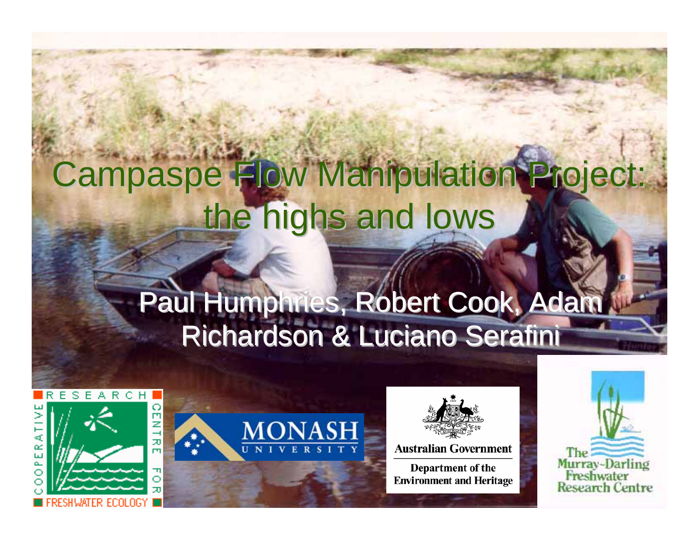# Campaspe Flow Manipulation Project: the highs and lows

#### Paul Humphries, Robert Cook, Adam Richardson & Luciano Serafini







**Australian Government** 

Department of the **Environment and Heritage** 

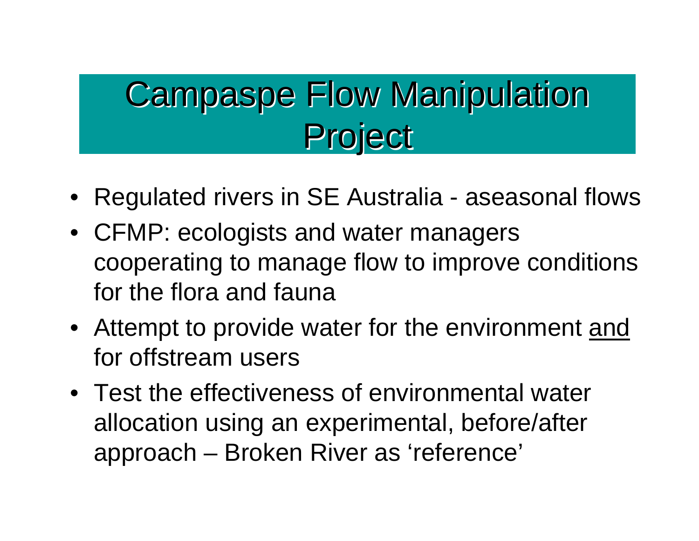# **Campaspe Flow Manipulation Project**

- Regulated rivers in SE Australia aseasonal flows
- CFMP: ecologists and water managers cooperating to manage flow to improve conditions for the flora and fauna
- Attempt to provide water for the environment and for offstream users
- Test the effectiveness of environmental water allocation using an experimental, before/after approach – Broken River as 'reference'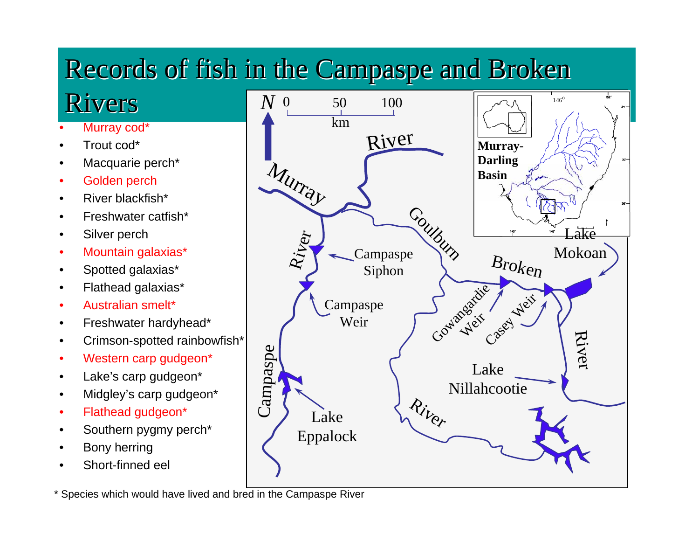#### Records of fish in the Campaspe and Broken

#### Rivers

- •Murray cod<sup>\*</sup>
- •Trout cod\*
- •Macquarie perch\*
- •Golden perch
- •River blackfish\*
- •Freshwater catfish\*
- •Silver perch
- •Mountain galaxias\*
- •Spotted galaxias\*
- •Flathead galaxias\*
- •Australian smelt\*
- •Freshwater hardyhead\*
- •Crimson-spotted rainbowfish\*
- •Western carp gudgeon\*
- •Lake's carp gudgeon\*
- •Midgley's carp gudgeon\*
- •Flathead gudgeon\*
- •Southern pygmy perch\*
- •Bony herring
- •Short-finned eel



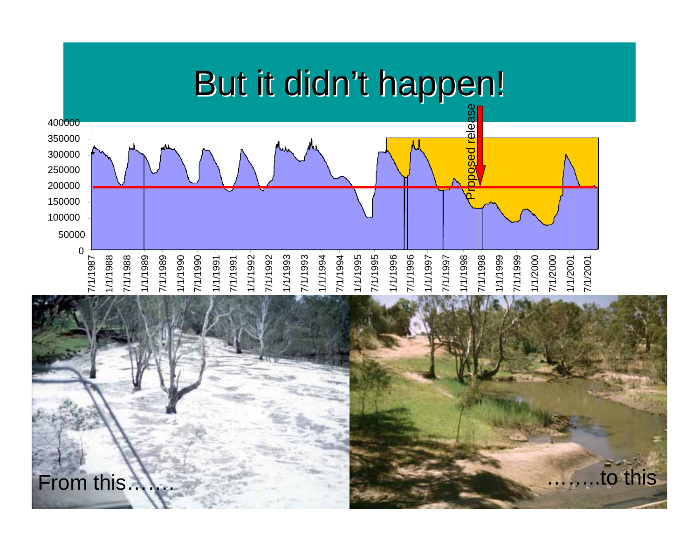

From this  $\mathcal{N}$  is a set of this in the this is the this is the this is a set of this is a set of this is a set of this is a set of this is a set of this is a set of this is a set of this is a set of this is a set of th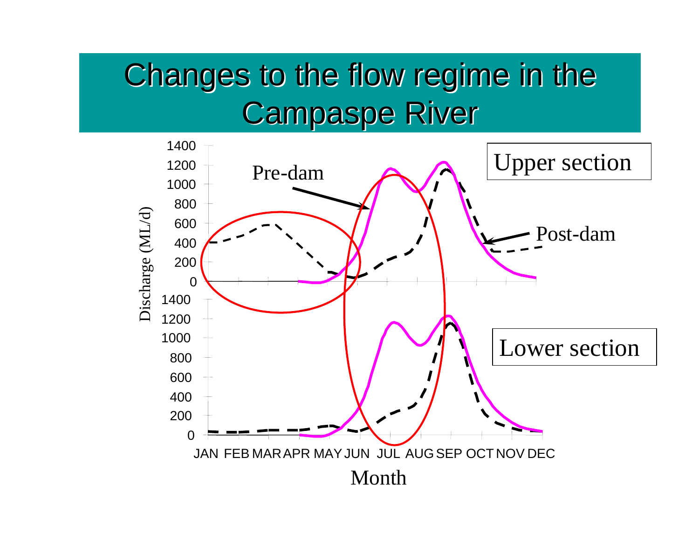#### Changes to the flow regime in the **Campaspe River**

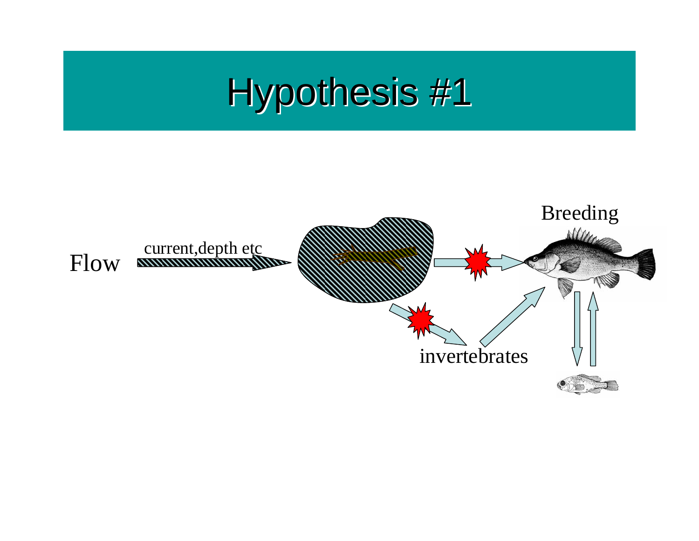# Hypothesis #1

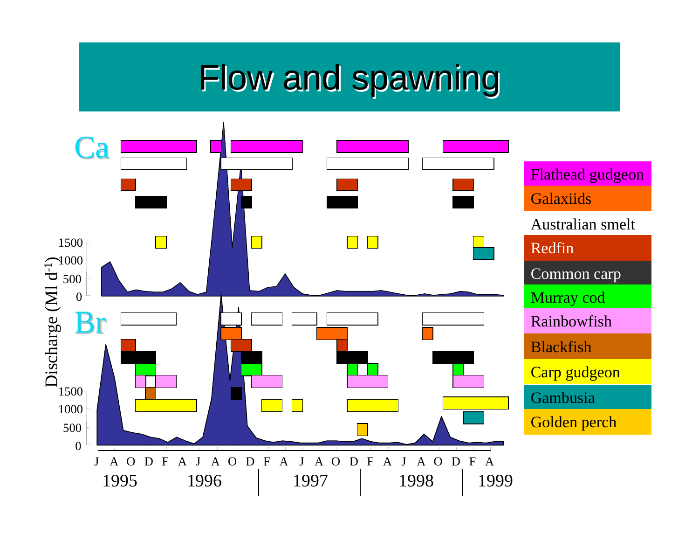#### Flow and spawning

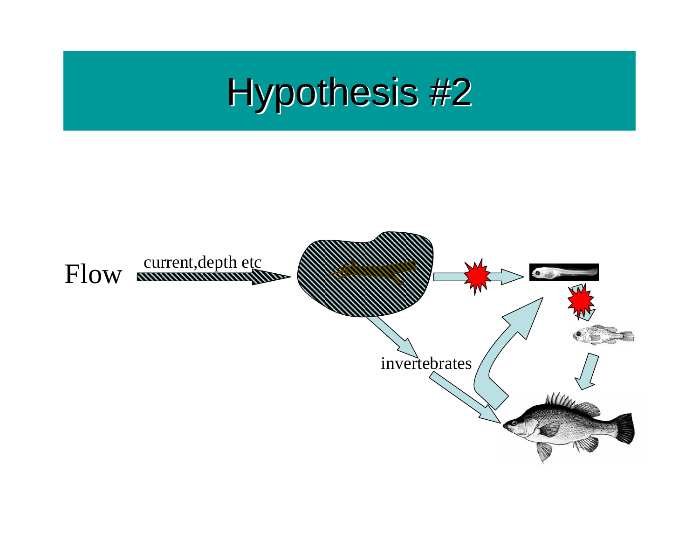

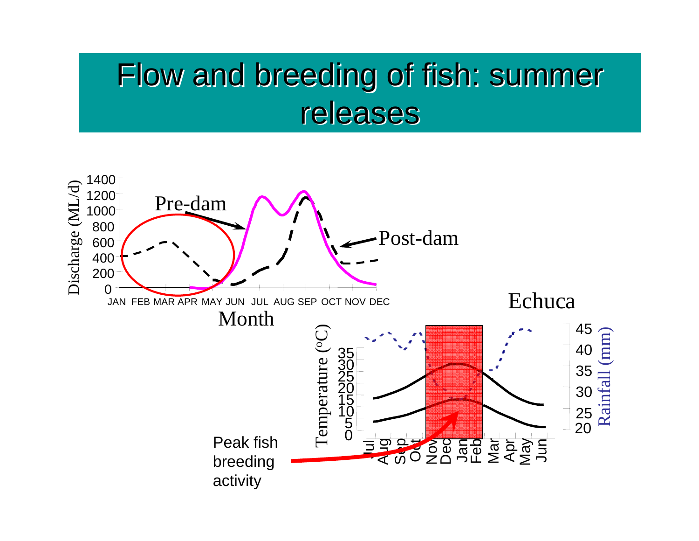#### Flow and breeding of fish: summer releases

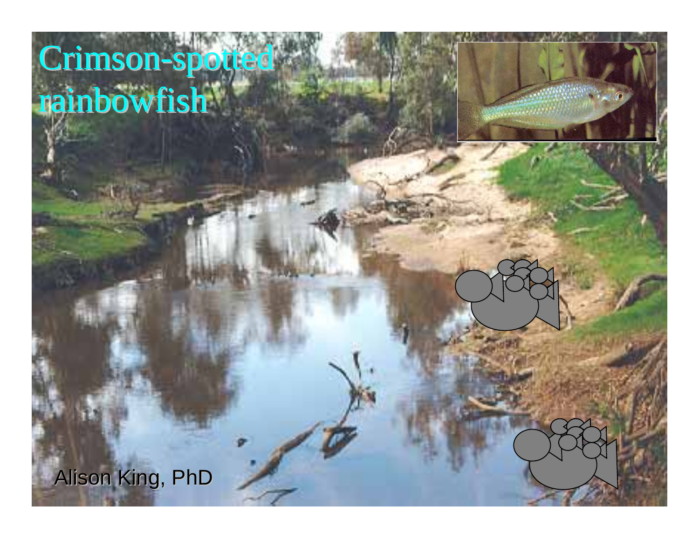# Crimson-spotted rainbowfish



Alison King, PhD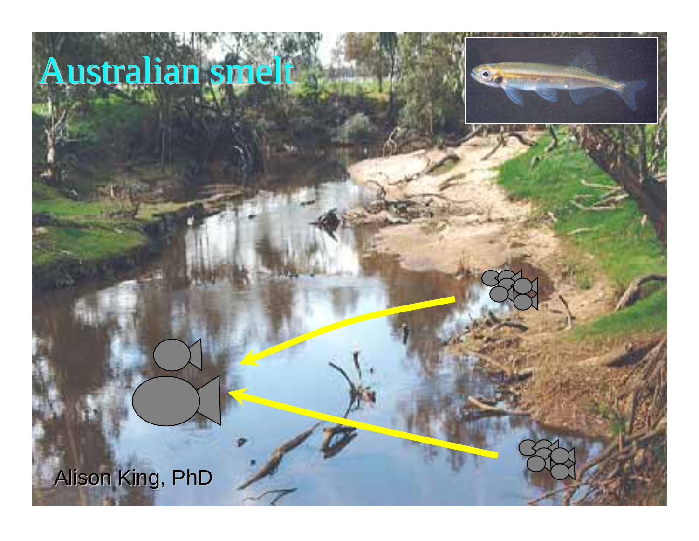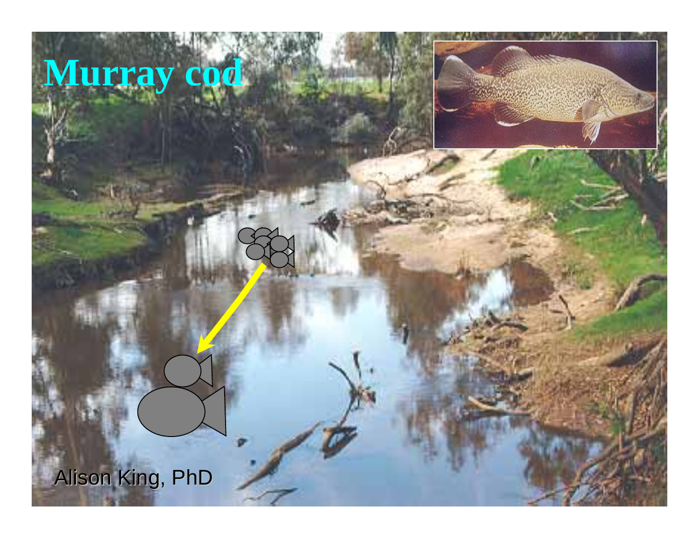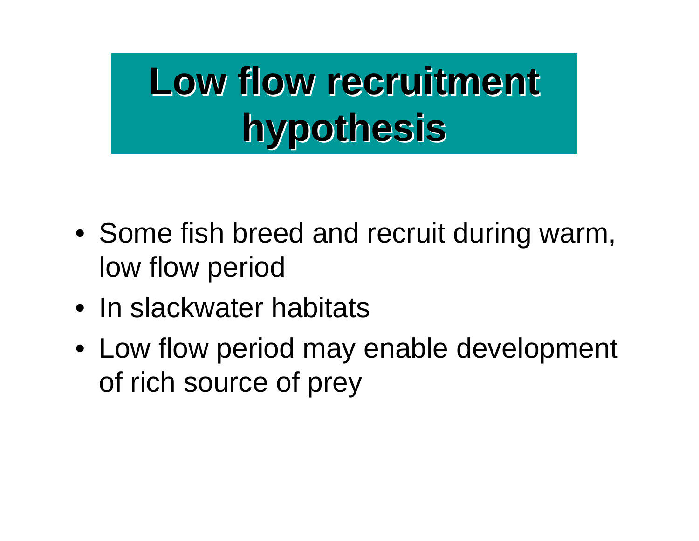# Low flow recruitment **hypothesis hypothesis**

- Some fish breed and recruit during warm, low flow period
- In slackwater habitats
- Low flow period may enable development of rich source of prey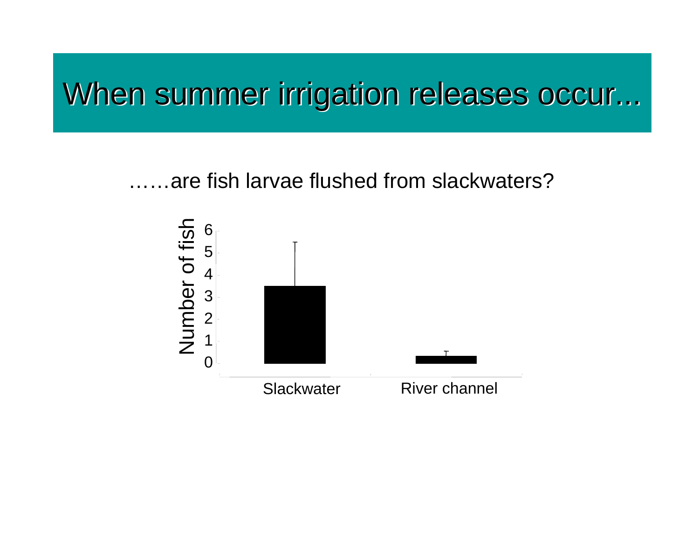#### When summer irrigation releases occur...

……are fish larvae flushed from slackwaters?

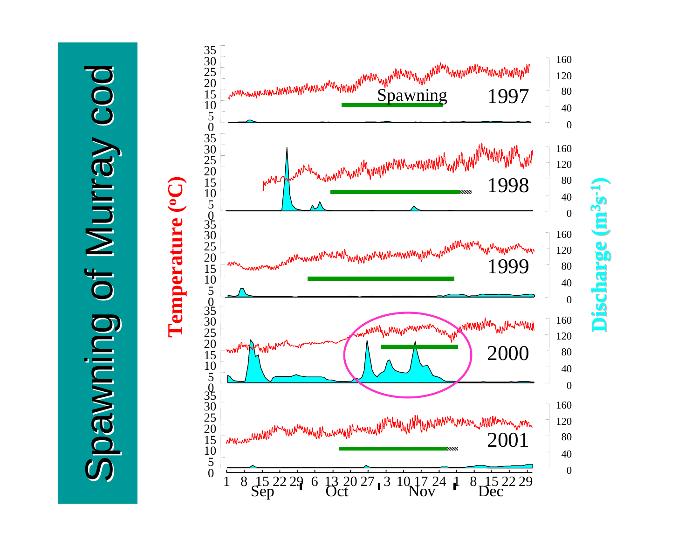# Spawning of Murray cod

# **Temperature (oC)**

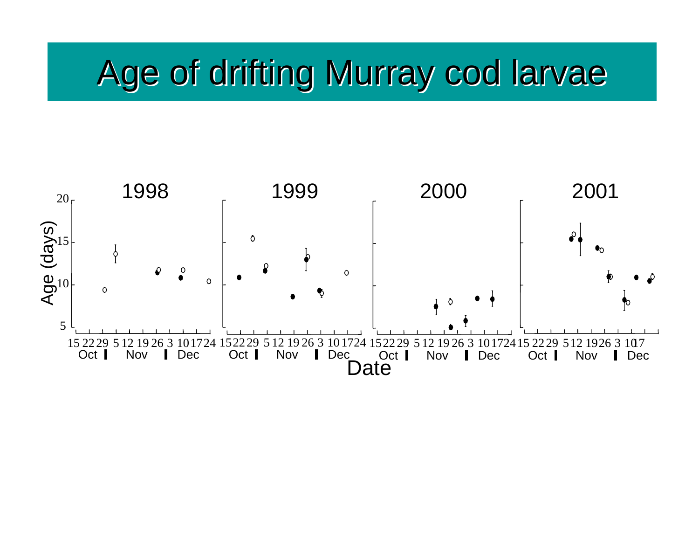## Age of drifting Murray cod larvae

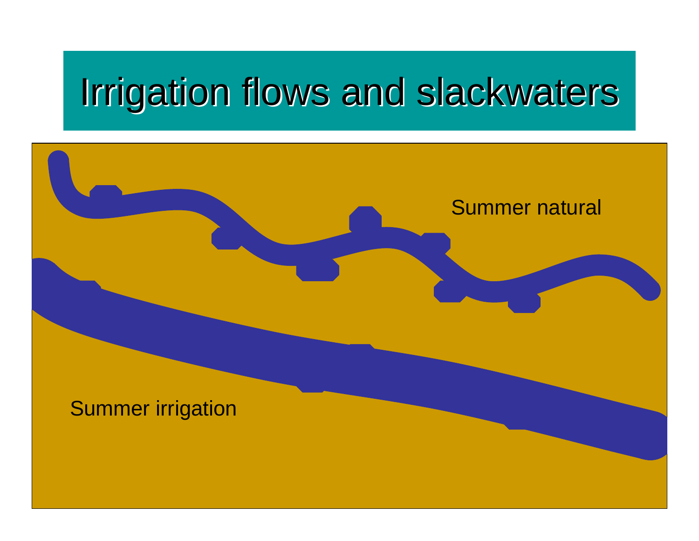# Irrigation flows and slackwaters



Summer irrigation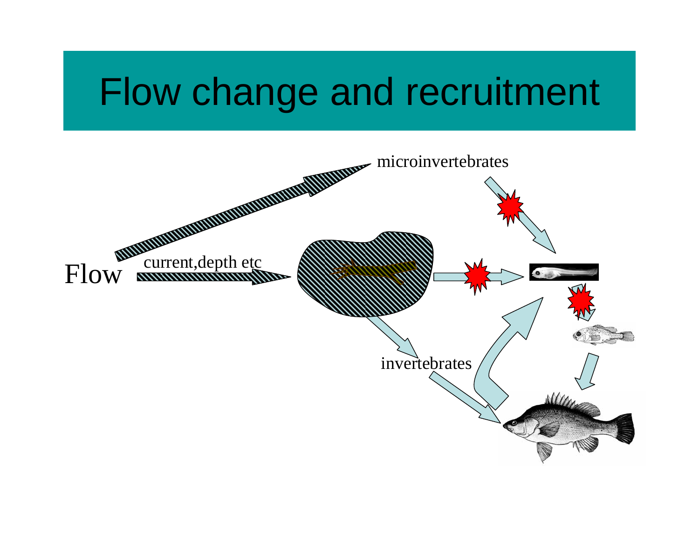# Flow change and recruitment

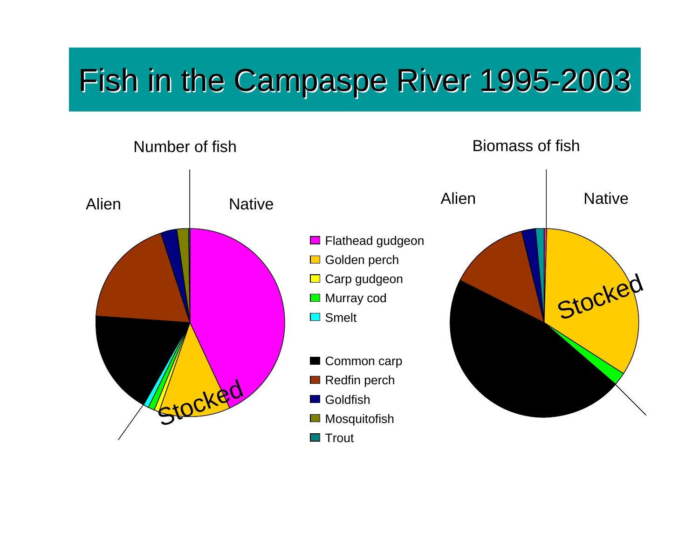#### Fish in the Campaspe River 1995-2003

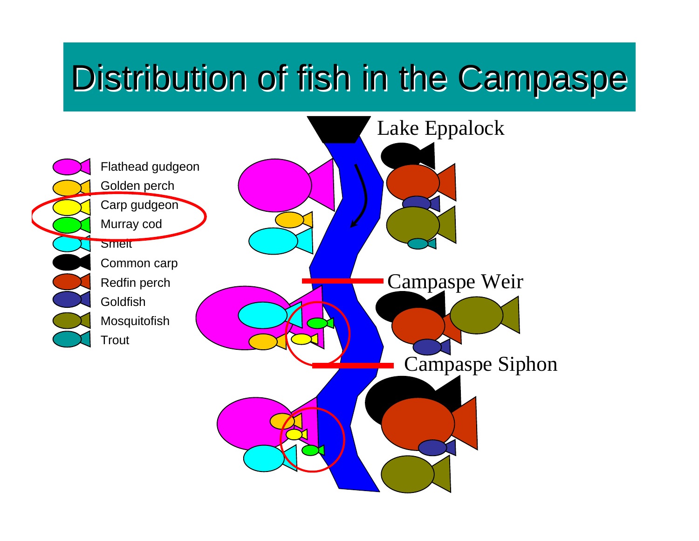## Distribution of fish in the Campaspe

Lake Eppalock

Flathead gudgeon Golden perch Carp gudgeon Murray cod **Smelt** Common carp Redfin perch **Goldfish** 

Mosquitofish

**Trout** 

Campaspe Weir Campaspe Siphon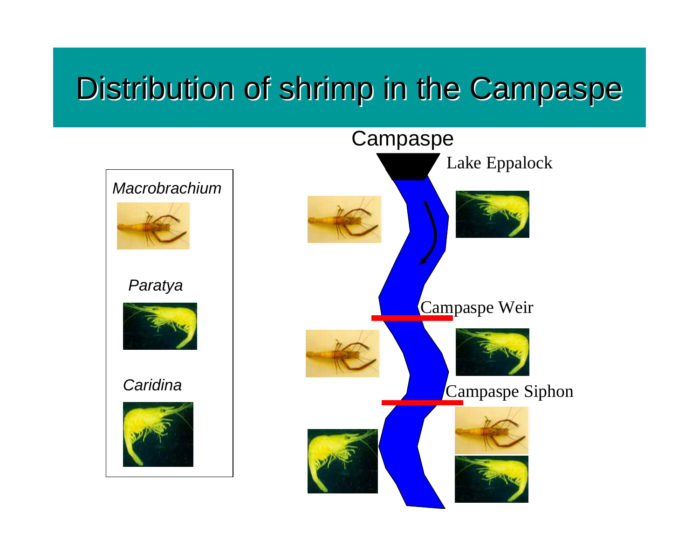#### Distribution of shrimp in the Campaspe Distribution of shrimp in the Campaspe

![](_page_20_Figure_1.jpeg)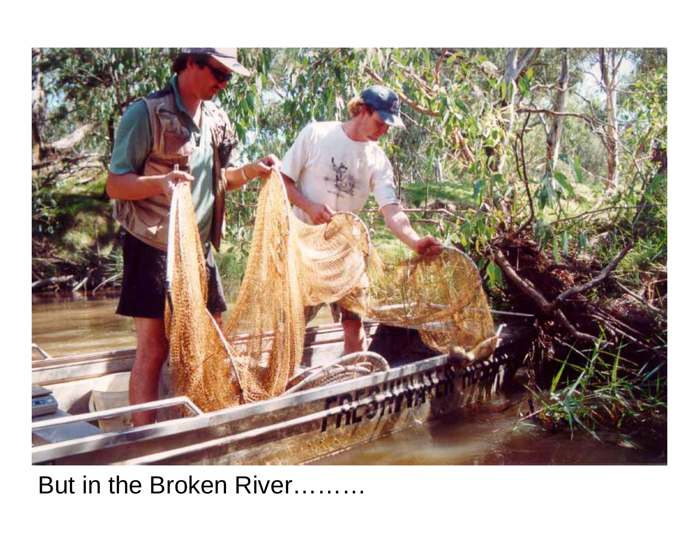![](_page_21_Picture_0.jpeg)

But in the Broken River………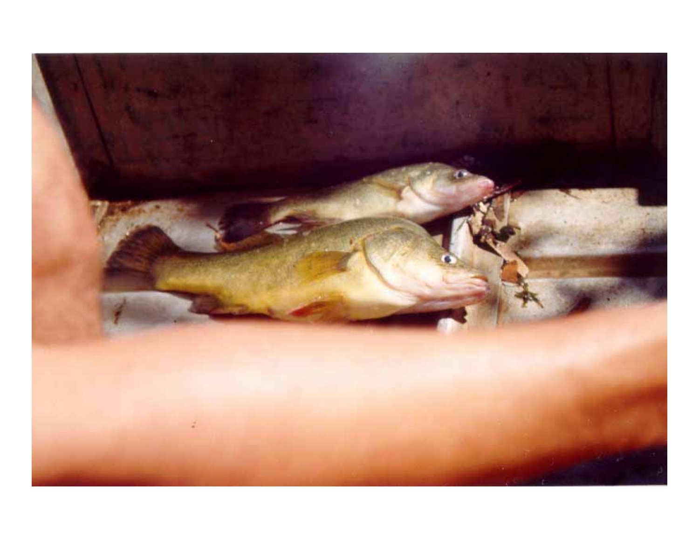![](_page_22_Picture_0.jpeg)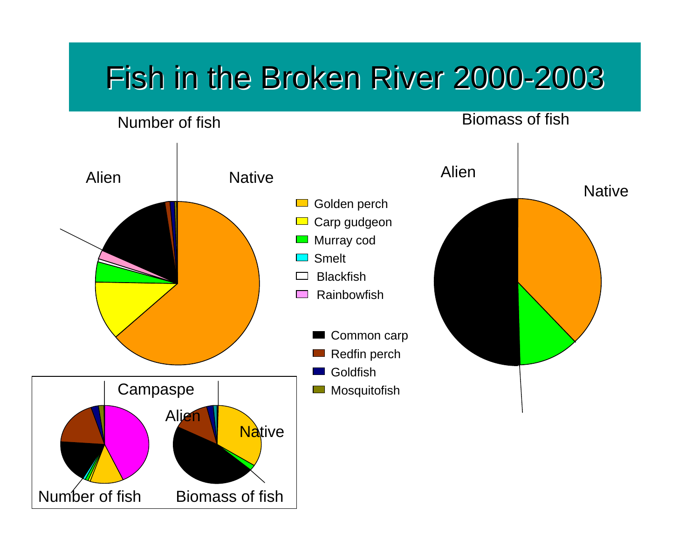#### Fish in the Broken River 2000-2003

![](_page_23_Figure_1.jpeg)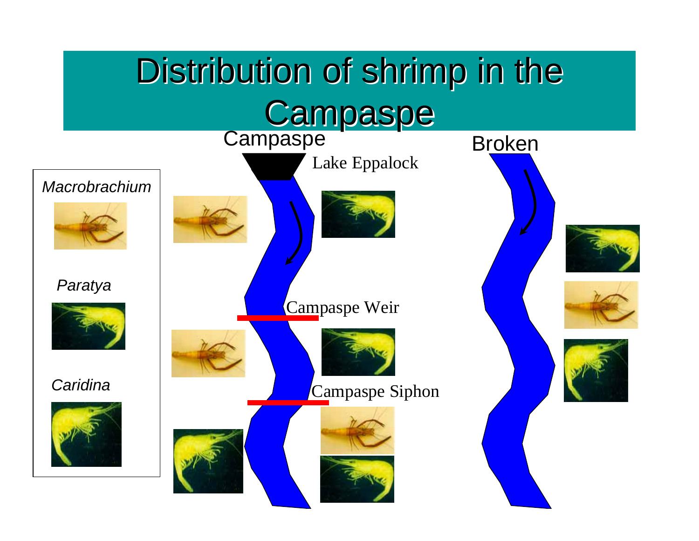![](_page_24_Figure_0.jpeg)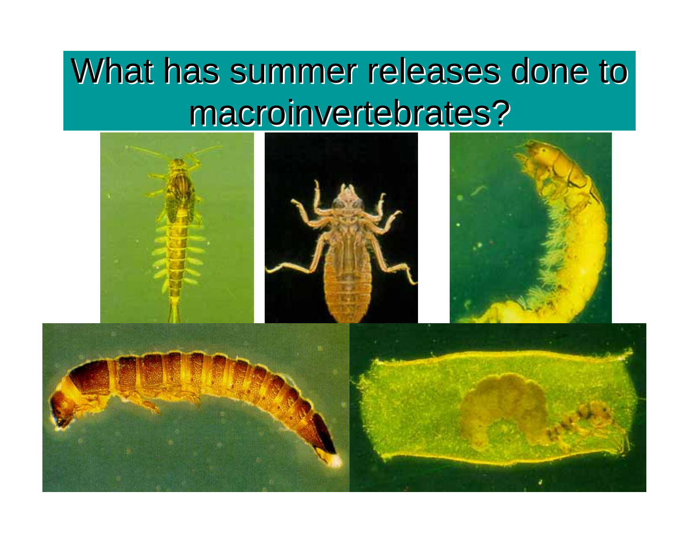# What has summer releases done to macroinvertebrates?

![](_page_25_Picture_1.jpeg)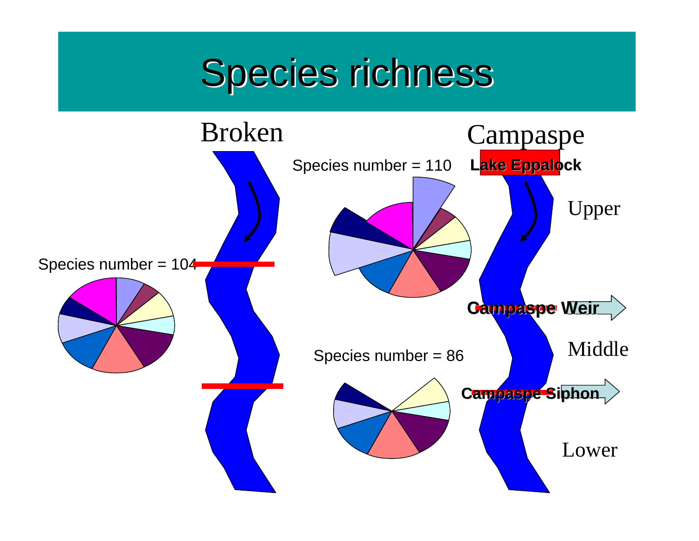# Species richness

![](_page_26_Figure_1.jpeg)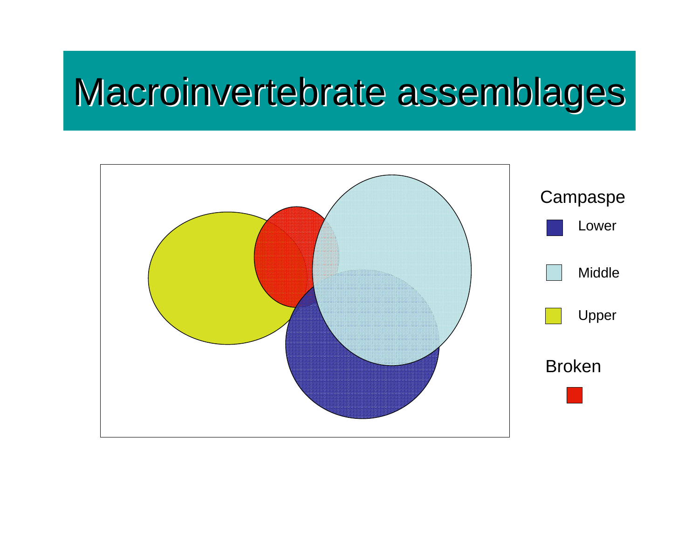# Macroinvertebrate assemblages

![](_page_27_Figure_1.jpeg)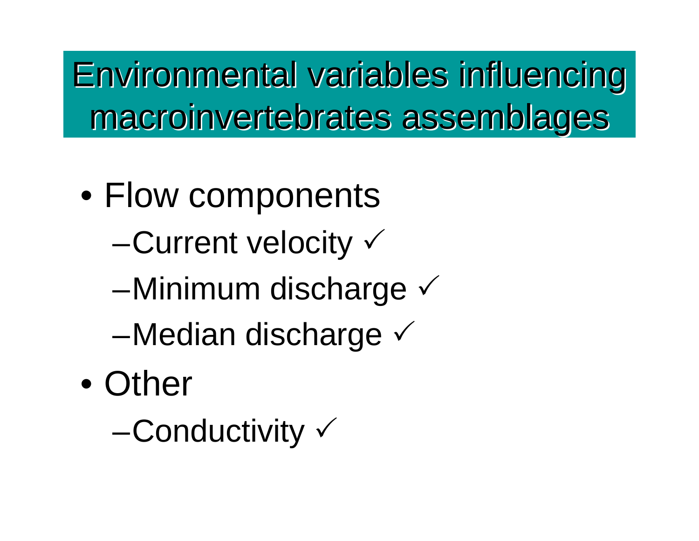Environmental variables influencing Environmental variables influencing macroinvertebrates assemblages

- $\bullet$  Flow components
	- -Current velocity  $\checkmark$
	- –Minimum discharge  $\checkmark$
	- -Median discharge  $\checkmark$
- •**Other**

-Conductivity  $\checkmark$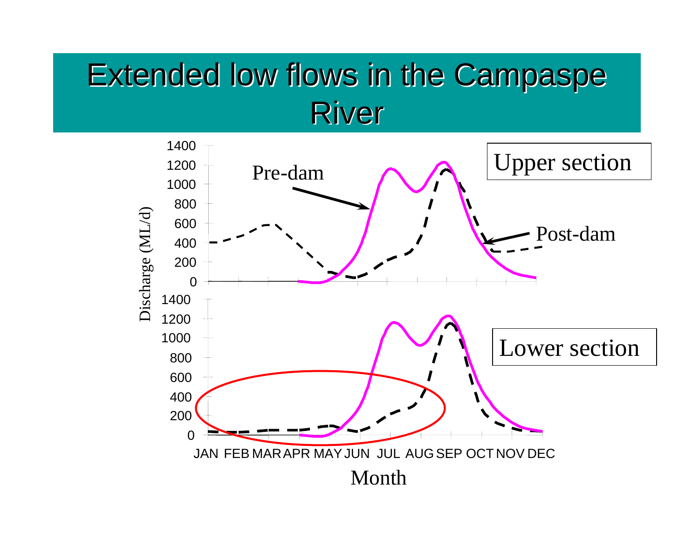#### Extended low flows in the Campaspe Extended low flows in the Campaspe River

![](_page_29_Figure_1.jpeg)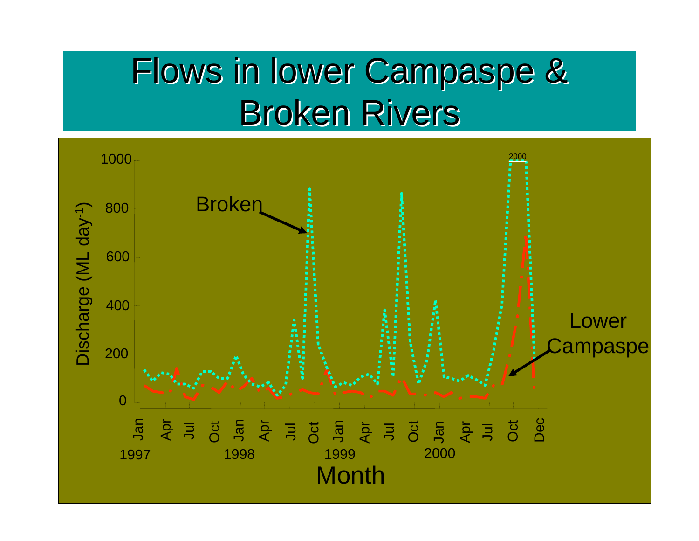# Flows in lower Campaspe & **Broken Rivers**

![](_page_30_Figure_1.jpeg)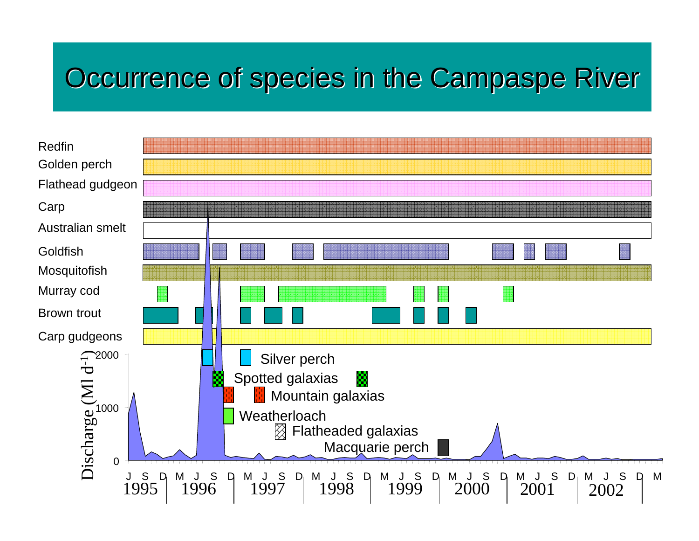#### Occurrence of species in the Campaspe River

![](_page_31_Figure_1.jpeg)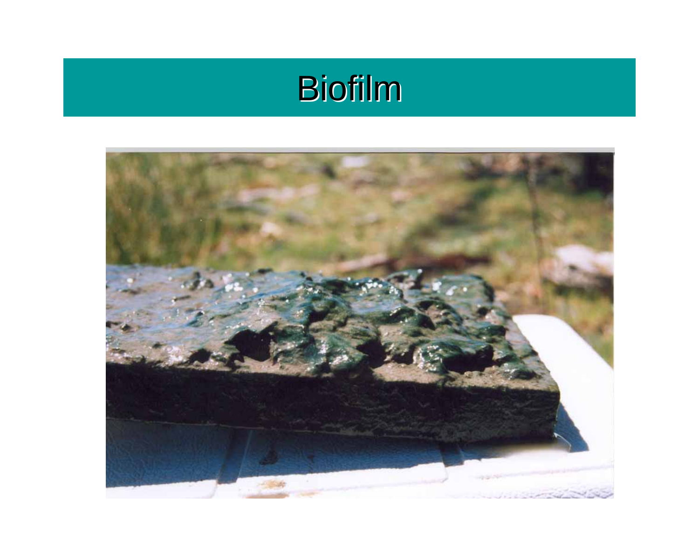#### Biofilm

![](_page_32_Picture_1.jpeg)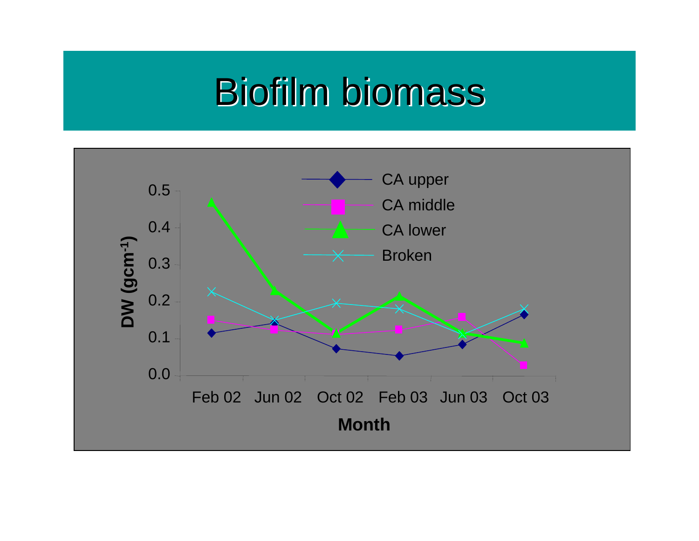#### Biofilm Biofilm biomass biomass

![](_page_33_Figure_1.jpeg)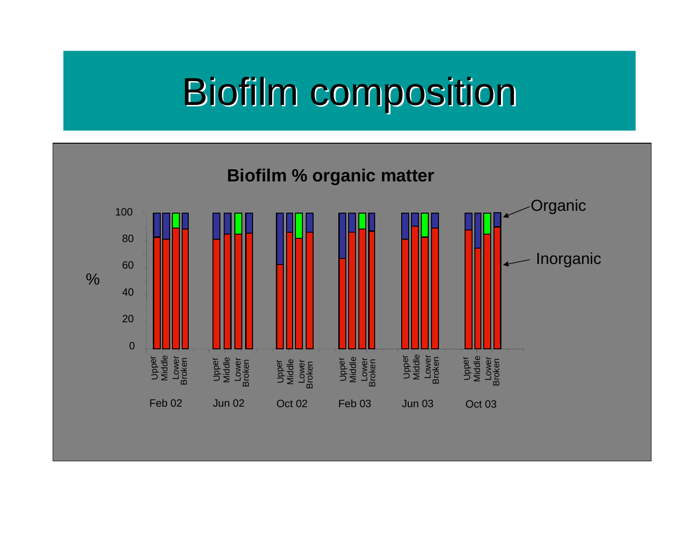# Biofilm composition

![](_page_34_Figure_1.jpeg)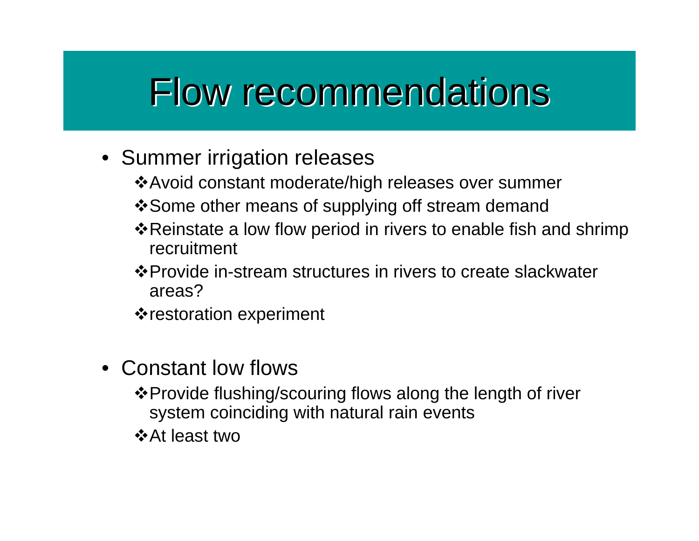# Flow recommendations Flow recommendations

- Summer irrigation releases
	- Avoid constant moderate/high releases over summer
	- **\*Some other means of supplying off stream demand**
	- **\*** Reinstate a low flow period in rivers to enable fish and shrimp recruitment
	- **Example 3-3** Provide in-stream structures in rivers to create slackwater areas?
	- restoration experiment
- Constant low flows
	- **\*** Provide flushing/scouring flows along the length of river system coinciding with natural rain events
	- At least two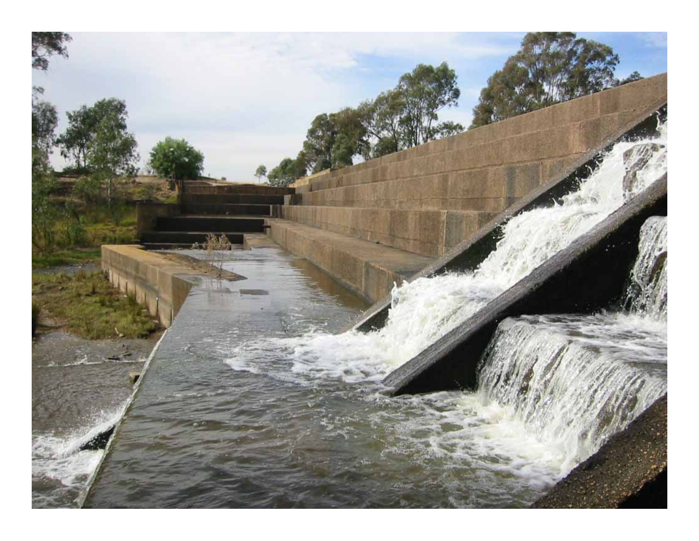![](_page_36_Picture_0.jpeg)